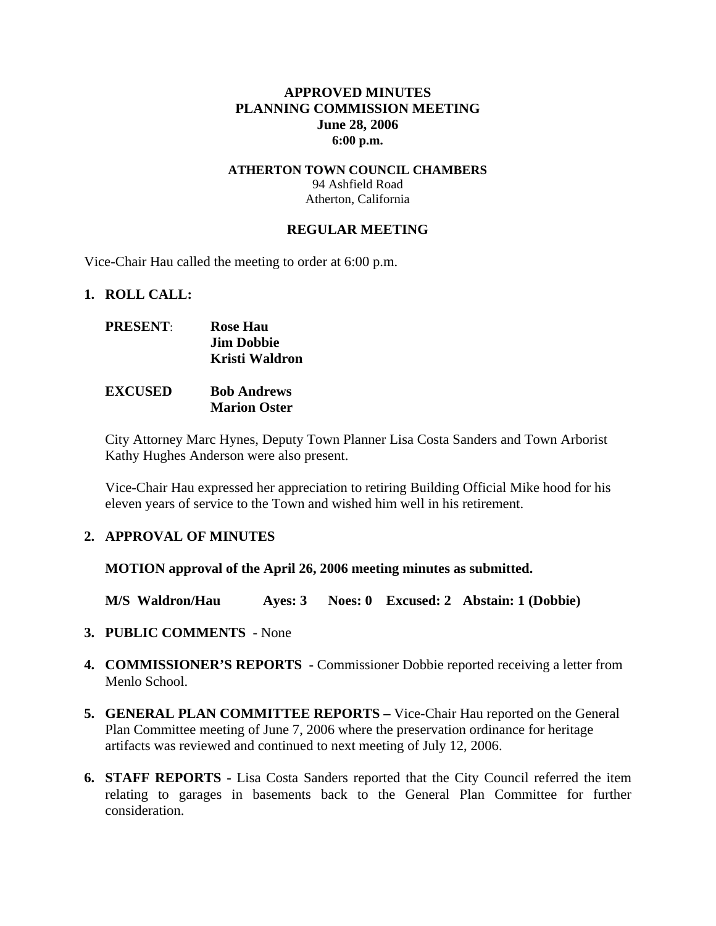### **APPROVED MINUTES PLANNING COMMISSION MEETING June 28, 2006 6:00 p.m.**

### **ATHERTON TOWN COUNCIL CHAMBERS**  94 Ashfield Road Atherton, California

#### **REGULAR MEETING**

Vice-Chair Hau called the meeting to order at 6:00 p.m.

#### **1. ROLL CALL:**

| <b>PRESENT:</b> | <b>Rose Hau</b>   |
|-----------------|-------------------|
|                 | <b>Jim Dobbie</b> |
|                 | Kristi Waldron    |
|                 |                   |

### **EXCUSED Bob Andrews Marion Oster**

City Attorney Marc Hynes, Deputy Town Planner Lisa Costa Sanders and Town Arborist Kathy Hughes Anderson were also present.

Vice-Chair Hau expressed her appreciation to retiring Building Official Mike hood for his eleven years of service to the Town and wished him well in his retirement.

### **2. APPROVAL OF MINUTES**

**MOTION approval of the April 26, 2006 meeting minutes as submitted.** 

**M/S Waldron/Hau Ayes: 3 Noes: 0 Excused: 2 Abstain: 1 (Dobbie)** 

- **3. PUBLIC COMMENTS** None
- **4. COMMISSIONER'S REPORTS -** Commissioner Dobbie reported receiving a letter from Menlo School.
- **5. GENERAL PLAN COMMITTEE REPORTS** Vice-Chair Hau reported on the General Plan Committee meeting of June 7, 2006 where the preservation ordinance for heritage artifacts was reviewed and continued to next meeting of July 12, 2006.
- **6. STAFF REPORTS** Lisa Costa Sanders reported that the City Council referred the item relating to garages in basements back to the General Plan Committee for further consideration.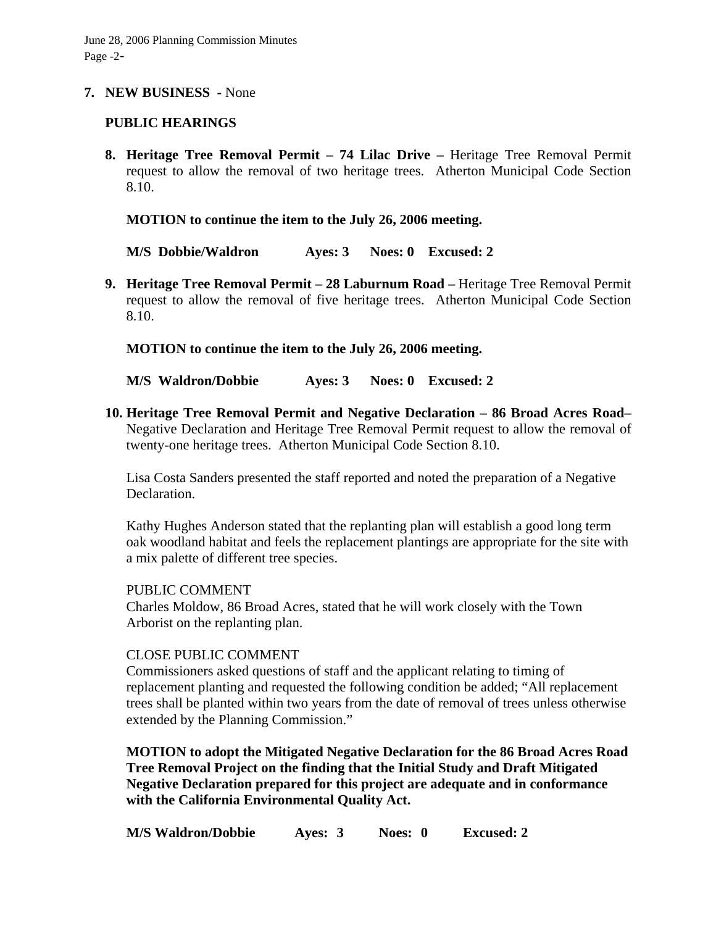### **7. NEW BUSINESS -** None

### **PUBLIC HEARINGS**

**8. Heritage Tree Removal Permit – 74 Lilac Drive –** Heritage Tree Removal Permit request to allow the removal of two heritage trees. Atherton Municipal Code Section 8.10.

**MOTION to continue the item to the July 26, 2006 meeting.** 

**M/S Dobbie/Waldron Ayes: 3 Noes: 0 Excused: 2** 

**9. Heritage Tree Removal Permit – 28 Laburnum Road –** Heritage Tree Removal Permit request to allow the removal of five heritage trees. Atherton Municipal Code Section 8.10.

**MOTION to continue the item to the July 26, 2006 meeting.** 

**M/S Waldron/Dobbie Ayes: 3 Noes: 0 Excused: 2** 

**10. Heritage Tree Removal Permit and Negative Declaration – 86 Broad Acres Road–**  Negative Declaration and Heritage Tree Removal Permit request to allow the removal of twenty-one heritage trees. Atherton Municipal Code Section 8.10.

Lisa Costa Sanders presented the staff reported and noted the preparation of a Negative Declaration.

Kathy Hughes Anderson stated that the replanting plan will establish a good long term oak woodland habitat and feels the replacement plantings are appropriate for the site with a mix palette of different tree species.

PUBLIC COMMENT

Charles Moldow, 86 Broad Acres, stated that he will work closely with the Town Arborist on the replanting plan.

# CLOSE PUBLIC COMMENT

Commissioners asked questions of staff and the applicant relating to timing of replacement planting and requested the following condition be added; "All replacement trees shall be planted within two years from the date of removal of trees unless otherwise extended by the Planning Commission."

**MOTION to adopt the Mitigated Negative Declaration for the 86 Broad Acres Road Tree Removal Project on the finding that the Initial Study and Draft Mitigated Negative Declaration prepared for this project are adequate and in conformance with the California Environmental Quality Act.** 

**M/S Waldron/Dobbie Ayes: 3 Noes: 0 Excused: 2**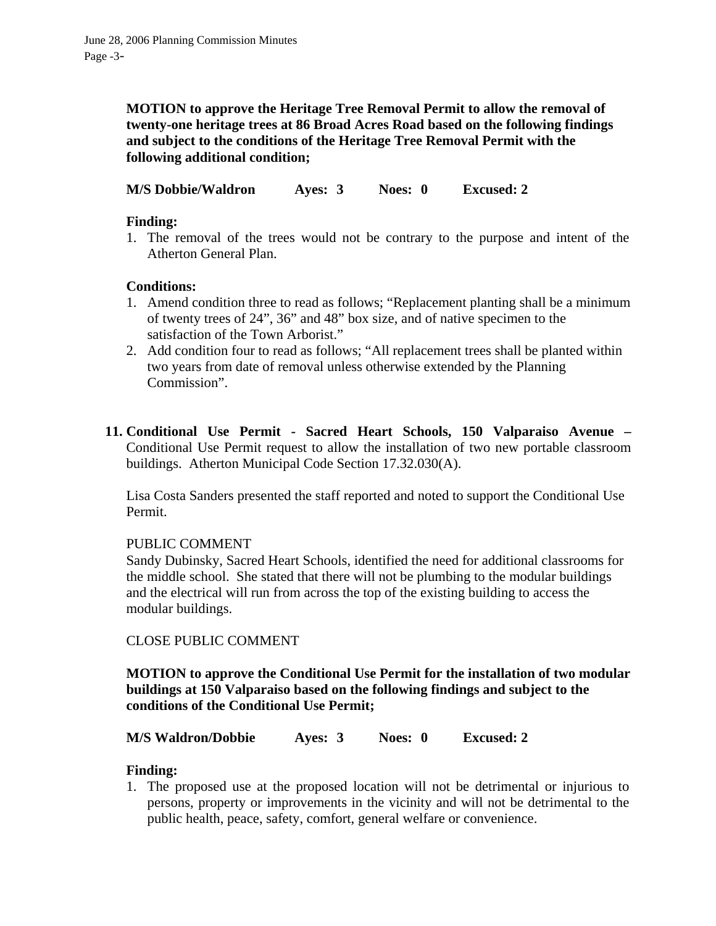**MOTION to approve the Heritage Tree Removal Permit to allow the removal of twenty-one heritage trees at 86 Broad Acres Road based on the following findings and subject to the conditions of the Heritage Tree Removal Permit with the following additional condition;** 

**M/S Dobbie/Waldron Ayes: 3 Noes: 0 Excused: 2** 

# **Finding:**

1. The removal of the trees would not be contrary to the purpose and intent of the Atherton General Plan.

# **Conditions:**

- 1. Amend condition three to read as follows; "Replacement planting shall be a minimum of twenty trees of 24", 36" and 48" box size, and of native specimen to the satisfaction of the Town Arborist."
- 2. Add condition four to read as follows; "All replacement trees shall be planted within two years from date of removal unless otherwise extended by the Planning Commission".
- **11. Conditional Use Permit Sacred Heart Schools, 150 Valparaiso Avenue**  Conditional Use Permit request to allow the installation of two new portable classroom buildings. Atherton Municipal Code Section 17.32.030(A).

Lisa Costa Sanders presented the staff reported and noted to support the Conditional Use Permit.

# PUBLIC COMMENT

Sandy Dubinsky, Sacred Heart Schools, identified the need for additional classrooms for the middle school. She stated that there will not be plumbing to the modular buildings and the electrical will run from across the top of the existing building to access the modular buildings.

# CLOSE PUBLIC COMMENT

**MOTION to approve the Conditional Use Permit for the installation of two modular buildings at 150 Valparaiso based on the following findings and subject to the conditions of the Conditional Use Permit;** 

**M/S Waldron/Dobbie Ayes: 3 Noes: 0 Excused: 2** 

# **Finding:**

1. The proposed use at the proposed location will not be detrimental or injurious to persons, property or improvements in the vicinity and will not be detrimental to the public health, peace, safety, comfort, general welfare or convenience.